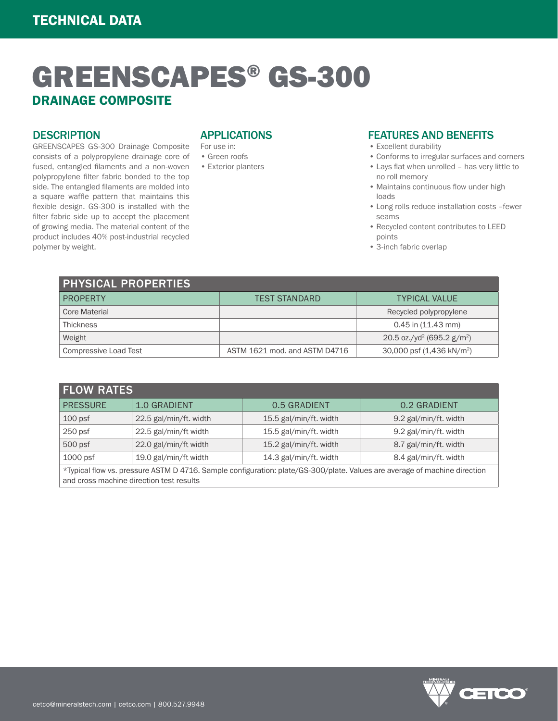# GREENSCAPES® GS-300 DRAINAGE COMPOSITE

### **DESCRIPTION**

GREENSCAPES GS-300 Drainage Composite consists of a polypropylene drainage core of fused, entangled filaments and a non-woven polypropylene filter fabric bonded to the top side. The entangled filaments are molded into a square waffle pattern that maintains this flexible design. GS-300 is installed with the filter fabric side up to accept the placement of growing media. The material content of the product includes 40% post-industrial recycled polymer by weight.

## APPLICATIONS

- For use in: • Green roofs
- Exterior planters

#### FEATURES AND BENEFITS • Excellent durability

- Conforms to irregular surfaces and corners
- Lays flat when unrolled has very little to no roll memory
- Maintains continuous flow under high loads
- Long rolls reduce installation costs –fewer seams
- Recycled content contributes to LEED points
- 3-inch fabric overlap

| <b>PHYSICAL PROPERTIES</b> |                               |                                                    |  |  |
|----------------------------|-------------------------------|----------------------------------------------------|--|--|
| PROPERTY                   | <b>TEST STANDARD</b>          | <b>TYPICAL VALUE</b>                               |  |  |
| Core Material              |                               | Recycled polypropylene                             |  |  |
| <b>Thickness</b>           |                               | $0.45$ in $(11.43$ mm)                             |  |  |
| Weight                     |                               | 20.5 oz./yd <sup>2</sup> (695.2 g/m <sup>2</sup> ) |  |  |
| Compressive Load Test      | ASTM 1621 mod. and ASTM D4716 | 30,000 psf (1,436 kN/m <sup>2</sup> )              |  |  |

| <b>FLOW RATES</b>                                                                                                                                                     |                        |                        |                       |  |
|-----------------------------------------------------------------------------------------------------------------------------------------------------------------------|------------------------|------------------------|-----------------------|--|
| <b>PRESSURE</b>                                                                                                                                                       | <b>1.0 GRADIENT</b>    | 0.5 GRADIENT           | 0.2 GRADIENT          |  |
| 100 <sub>psf</sub>                                                                                                                                                    | 22.5 gal/min/ft. width | 15.5 gal/min/ft. width | 9.2 gal/min/ft. width |  |
| $250$ psf                                                                                                                                                             | 22.5 gal/min/ft width  | 15.5 gal/min/ft. width | 9.2 gal/min/ft. width |  |
| 500 psf                                                                                                                                                               | 22.0 gal/min/ft width  | 15.2 gal/min/ft. width | 8.7 gal/min/ft. width |  |
| $1000$ psf                                                                                                                                                            | 19.0 gal/min/ft width  | 14.3 gal/min/ft. width | 8.4 gal/min/ft. width |  |
| *Typical flow vs. pressure ASTM D 4716. Sample configuration: plate/GS-300/plate. Values are average of machine direction<br>and cross machine direction test results |                        |                        |                       |  |